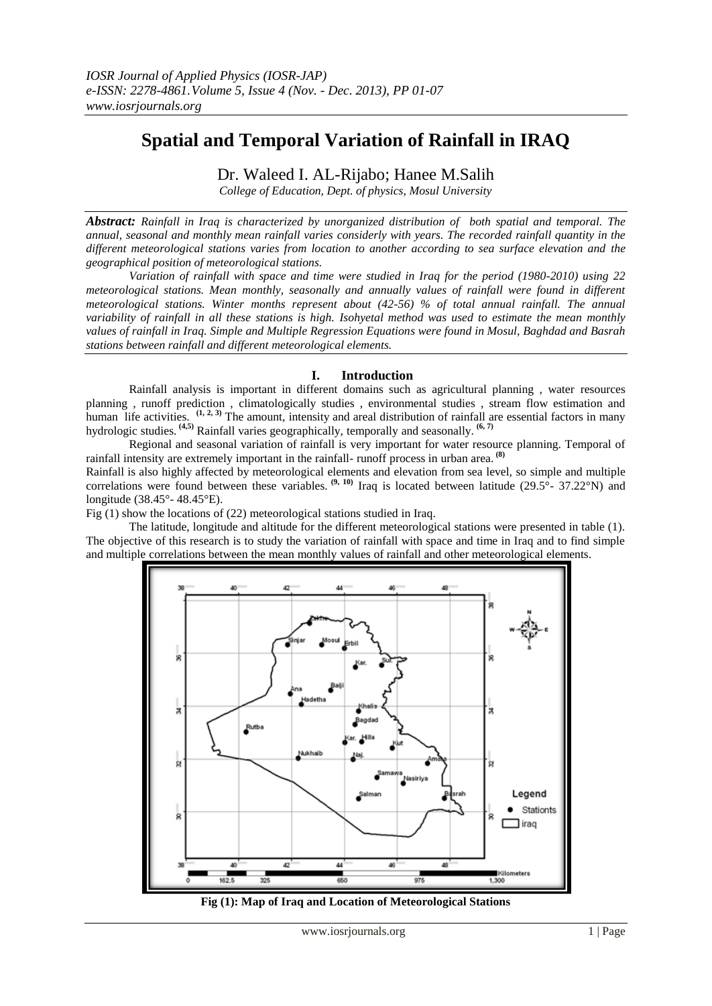# **Spatial and Temporal Variation of Rainfall in IRAQ**

# Dr. Waleed I. AL-Rijabo; Hanee M.Salih

*College of Education, Dept. of physics, Mosul University*

*Abstract: Rainfall in Iraq is characterized by unorganized distribution of both spatial and temporal. The annual, seasonal and monthly mean rainfall varies considerly with years. The recorded rainfall quantity in the different meteorological stations varies from location to another according to sea surface elevation and the geographical position of meteorological stations.*

*Variation of rainfall with space and time were studied in Iraq for the period (1980-2010) using 22 meteorological stations. Mean monthly, seasonally and annually values of rainfall were found in different meteorological stations. Winter months represent about (42-56) % of total annual rainfall. The annual variability of rainfall in all these stations is high. Isohyetal method was used to estimate the mean monthly values of rainfall in Iraq. Simple and Multiple Regression Equations were found in Mosul, Baghdad and Basrah stations between rainfall and different meteorological elements.*

## **I. Introduction**

Rainfall analysis is important in different domains such as agricultural planning , water resources planning , runoff prediction , climatologically studies , environmental studies , stream flow estimation and human life activities.  $(1, 2, 3)$  The amount, intensity and areal distribution of rainfall are essential factors in many hydrologic studies. **(4,5)** Rainfall varies geographically, temporally and seasonally. **(6, 7)**

Regional and seasonal variation of rainfall is very important for water resource planning. Temporal of rainfall intensity are extremely important in the rainfall- runoff process in urban area. **(8)** Rainfall is also highly affected by meteorological elements and elevation from sea level, so simple and multiple

correlations were found between these variables.  $(9, 10)$  Iraq is located between latitude  $(29.5^{\circ} - 37.22^{\circ} N)$  and longitude (38.45°- 48.45°E).

Fig (1) show the locations of (22) meteorological stations studied in Iraq.

The latitude, longitude and altitude for the different meteorological stations were presented in table (1). The objective of this research is to study the variation of rainfall with space and time in Iraq and to find simple and multiple correlations between the mean monthly values of rainfall and other meteorological elements.



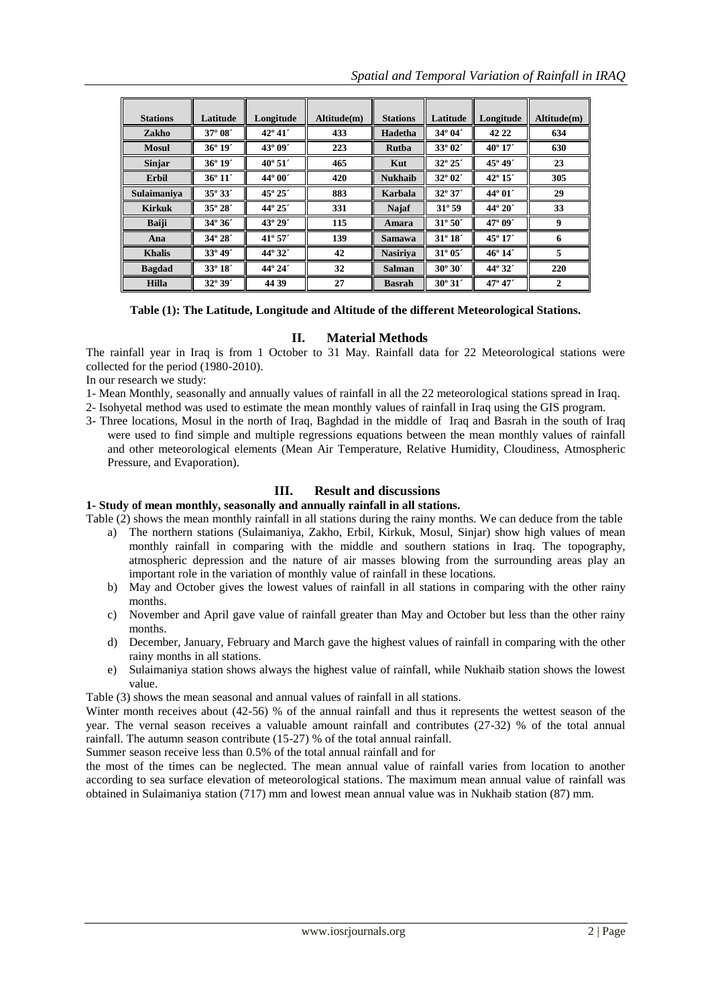| <b>Stations</b> | Latitude         | Longitude        | Altitude(m) | <b>Stations</b> | Latitude         | Longitude        | Altitude(m)    |
|-----------------|------------------|------------------|-------------|-----------------|------------------|------------------|----------------|
| Zakho           | 37° 08'          | $42^{\circ}41'$  | 433         | Hadetha         | 34° 04'          | 42 22            | 634            |
| <b>Mosul</b>    | $36^{\circ} 19'$ | 43° 09'          | 223         | Rutba           | 33° 02'          | $40^{\circ} 17'$ | 630            |
| <b>Sinjar</b>   | $36^{\circ} 19'$ | $40^{\circ} 51'$ | 465         | Kut             | $32^{\circ} 25'$ | 45° 49'          | 23             |
| <b>Erbil</b>    | $36^{\circ} 11'$ | $44^{\circ}00'$  | 420         | <b>Nukhaib</b>  | $32^{\circ}$ 02' | $42^{\circ} 15'$ | 305            |
| Sulaimaniya     | $35^{\circ} 33'$ | 45° 25'          | 883         | Karbala         | $32^{\circ}37'$  | 44° 01'          | 29             |
| <b>Kirkuk</b>   | $35^{\circ} 28'$ | $44^{\circ} 25'$ | 331         | Najaf           | $31^{\circ}59$   | $44^{\circ} 20'$ | 33             |
| <b>Baiji</b>    | $34^{\circ}36'$  | $43^{\circ} 29'$ | 115         | Amara           | $31^{\circ} 50'$ | 47° 09'          | 9              |
| Ana             | 34° 28'          | $41^{\circ}57'$  | 139         | <b>Samawa</b>   | $31^{\circ} 18'$ | $45^{\circ} 17'$ | 6              |
| <b>Khalis</b>   | 33° 49'          | 44° 32'          | 42          | <b>Nasiriya</b> | $31^{\circ} 05'$ | $46^{\circ} 14'$ | 5              |
| <b>Bagdad</b>   | $33^{\circ} 18'$ | 44° 24'          | 32          | <b>Salman</b>   | $30^{\circ} 30'$ | 44° 32'          | 220            |
| <b>Hilla</b>    | $32^{\circ}39'$  | 44 39            | 27          | <b>Basrah</b>   | $30^{\circ} 31'$ | $47^{\circ} 47'$ | $\overline{2}$ |

**Table (1): The Latitude, Longitude and Altitude of the different Meteorological Stations.**

## **II. Material Methods**

The rainfall year in Iraq is from 1 October to 31 May. Rainfall data for 22 Meteorological stations were collected for the period (1980-2010).

In our research we study:

1- Mean Monthly, seasonally and annually values of rainfall in all the 22 meteorological stations spread in Iraq.

2- Isohyetal method was used to estimate the mean monthly values of rainfall in Iraq using the GIS program.

3- Three locations, Mosul in the north of Iraq, Baghdad in the middle of Iraq and Basrah in the south of Iraq were used to find simple and multiple regressions equations between the mean monthly values of rainfall and other meteorological elements (Mean Air Temperature, Relative Humidity, Cloudiness, Atmospheric Pressure, and Evaporation).

# **III. Result and discussions**

### **1- Study of mean monthly, seasonally and annually rainfall in all stations.**

Table (2) shows the mean monthly rainfall in all stations during the rainy months. We can deduce from the table

- a) The northern stations (Sulaimaniya, Zakho, Erbil, Kirkuk, Mosul, Sinjar) show high values of mean monthly rainfall in comparing with the middle and southern stations in Iraq. The topography, atmospheric depression and the nature of air masses blowing from the surrounding areas play an important role in the variation of monthly value of rainfall in these locations.
- b) May and October gives the lowest values of rainfall in all stations in comparing with the other rainy months.
- c) November and April gave value of rainfall greater than May and October but less than the other rainy months.
- d) December, January, February and March gave the highest values of rainfall in comparing with the other rainy months in all stations.
- e) Sulaimaniya station shows always the highest value of rainfall, while Nukhaib station shows the lowest value.

Table (3) shows the mean seasonal and annual values of rainfall in all stations.

Winter month receives about (42-56) % of the annual rainfall and thus it represents the wettest season of the year. The vernal season receives a valuable amount rainfall and contributes (27-32) % of the total annual rainfall. The autumn season contribute (15-27) % of the total annual rainfall.

Summer season receive less than 0.5% of the total annual rainfall and for

the most of the times can be neglected. The mean annual value of rainfall varies from location to another according to sea surface elevation of meteorological stations. The maximum mean annual value of rainfall was obtained in Sulaimaniya station (717) mm and lowest mean annual value was in Nukhaib station (87) mm.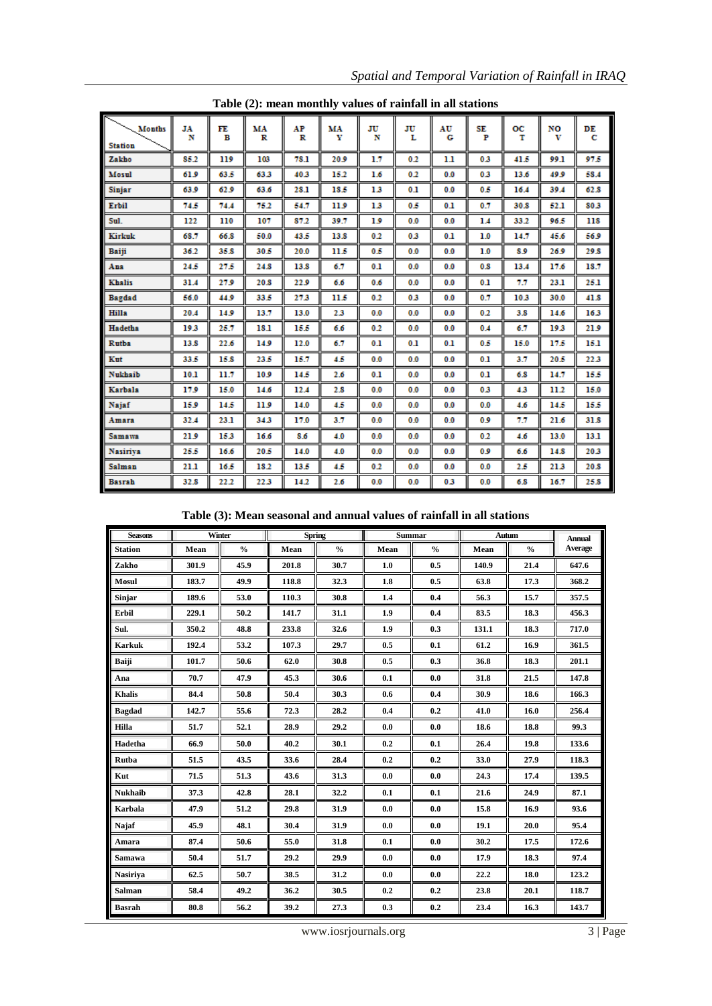| $1$ able $(2)$ , ineall monthly values of Fallman in an stations |         |         |         |         |         |         |         |         |         |         |         |         |
|------------------------------------------------------------------|---------|---------|---------|---------|---------|---------|---------|---------|---------|---------|---------|---------|
| <b>Months</b><br><b>Station</b>                                  | JA<br>N | FE<br>в | MA<br>R | AP<br>R | MA<br>Y | JU<br>N | JU<br>L | AU<br>G | SE<br>P | oс<br>т | NO<br>v | DE<br>С |
| Zakho                                                            | 85.2    | 119     | 103     | 78.1    | 20.9    | 1.7     | 0.2     | 1.1     | 0.3     | 41.5    | 99.1    | 97.5    |
| Mosul                                                            | 61.9    | 63.5    | 63.3    | 40.3    | 15.2    | 1.6     | 0.2     | 0.0     | 0.3     | 13.6    | 49.9    | 58.4    |
| <b>Sinjar</b>                                                    | 63.9    | 62.9    | 63.6    | 28.1    | 18.5    | 13      | 0.1     | 0.0     | 0.5     | 16.4    | 39.4    | 62.8    |
| <b>Erbil</b>                                                     | 74.5    | 74.4    | 75.2    | 54.7    | 11.9    | 13      | 0.5     | 0.1     | 0.7     | 30.8    | 52.1    | 80.3    |
| Sul.                                                             | 122     | 110     | 107     | 87.2    | 39.7    | 19      | 0.0     | 0.0     | 1.4     | 33.2    | 96.5    | 118     |
| Kirkuk                                                           | 68.7    | 66.8    | 50.0    | 43.5    | 13.8    | 0.2     | 0.3     | 0.1     | 1.0     | 14.7    | 45.6    | 56.9    |
| Baiji                                                            | 36.2    | 35.8    | 30.5    | 20.0    | 11.5    | 0.5     | 0.0     | 0.0     | 1.0     | 8.9     | 26.9    | 29.8    |
| Ana                                                              | 24.5    | 27.5    | 24.8    | 13.8    | 6.7     | 0.1     | 0.0     | 0.0     | 0.8     | 13.4    | 17.6    | 18.7    |
| Khalis                                                           | 31.4    | 27.9    | 20.8    | 22.9    | 6.6     | 0.6     | 0.0     | 0.0     | 0.1     | 7.7     | 23.1    | 25.1    |
| <b>Bagdad</b>                                                    | 56.0    | 44.9    | 33.5    | 27.3    | 11.5    | 0.2     | 0.3     | 0.0     | 0.7     | 10.3    | 30.0    | 41.8    |
| Hilla                                                            | 20.4    | 14.9    | 13.7    | 13.0    | 2.3     | 0.0     | 0.0     | 0.0     | 0.2     | 3.8     | 14.6    | 16.3    |
| <b>Hadetha</b>                                                   | 19.3    | 25.7    | 18.1    | 15.5    | 6.6     | 0.2     | 0.0     | 0.0     | 0.4     | 6.7     | 19.3    | 21.9    |
| <b>Rutba</b>                                                     | 13.8    | 22.6    | 14.9    | 12.0    | 6.7     | 0.1     | 0.1     | 0.1     | 0.5     | 15.0    | 17.5    | 15.1    |
| Kut                                                              | 33.5    | 15.8    | 23.5    | 15.7    | 4.5     | 0.0     | 0.0     | 0.0     | 0.1     | 3.7     | 20.5    | 22.3    |
| <b>Nukhaib</b>                                                   | 10.1    | 11.7    | 10.9    | 14.5    | 2.6     | 0.1     | 0.0     | 0.0     | 0.1     | 6.8     | 14.7    | 15.5    |
| <b>Karbala</b>                                                   | 17.9    | 15.0    | 14.6    | 12.4    | 2.8     | 0.0     | 0.0     | 0.0     | 0.3     | 4.3     | 11.2    | 15.0    |
| Najaf                                                            | 15.9    | 14.5    | 11.9    | 14.0    | 4.5     | 0.0     | 0.0     | 0.0     | 0.0     | 4.6     | 14.5    | 15.5    |
| Amara                                                            | 32.4    | 23.1    | 34.3    | 17.0    | 3.7     | 0.0     | 0.0     | 0.0     | 0.9     | 77      | 21.6    | 31.8    |
| Samawa                                                           | 21.9    | 15.3    | 16.6    | 8.6     | 4.0     | 0.0     | 0.0     | 0.0     | 0.2     | 4.6     | 13.0    | 13.1    |
| <b>Nasiriya</b>                                                  | 25.5    | 16.6    | 20.5    | 14.0    | 4.0     | 0.0     | 0.0     | 0.0     | 0.9     | 6.6     | 14.8    | 20.3    |
| Salman                                                           | 21.1    | 16.5    | 18.2    | 13.5    | 4.5     | 0.2     | 0.0     | 0.0     | 0.0     | 2.5     | 21.3    | 20.8    |
| <b>Basrah</b>                                                    | 32.8    | 22.2    | 22.3    | 14.2    | 2.6     | 0.0     | 0.0     | 0.3     | 0.0     | 6.8     | 16.7    | 25.8    |

**Table (2): mean monthly values of rainfall in all stations**

**Table (3): Mean seasonal and annual values of rainfall in all stations**

| <b>Seasons</b>  | Winter |               | <b>Spring</b> |               | <b>Summar</b> |               | Autum |               | <b>Annual</b> |
|-----------------|--------|---------------|---------------|---------------|---------------|---------------|-------|---------------|---------------|
| <b>Station</b>  | Mean   | $\frac{0}{0}$ | Mean          | $\frac{0}{0}$ | Mean          | $\frac{0}{0}$ | Mean  | $\frac{0}{0}$ | Average       |
| Zakho           | 301.9  | 45.9          | 201.8         | 30.7          | 1.0           | 0.5           | 140.9 | 21.4          | 647.6         |
| <b>Mosul</b>    | 183.7  | 49.9          | 118.8         | 32.3          | 1.8           | 0.5           | 63.8  | 17.3          | 368.2         |
| <b>Sinjar</b>   | 189.6  | 53.0          | 110.3         | 30.8          | 1.4           | 0.4           | 56.3  | 15.7          | 357.5         |
| Erbil           | 229.1  | 50.2          | 141.7         | 31.1          | 1.9           | 0.4           | 83.5  | 18.3          | 456.3         |
| Sul.            | 350.2  | 48.8          | 233.8         | 32.6          | 1.9           | 0.3           | 131.1 | 18.3          | 717.0         |
| <b>Karkuk</b>   | 192.4  | 53.2          | 107.3         | 29.7          | 0.5           | 0.1           | 61.2  | 16.9          | 361.5         |
| <b>Baiji</b>    | 101.7  | 50.6          | 62.0          | 30.8          | 0.5           | 0.3           | 36.8  | 18.3          | 201.1         |
| Ana             | 70.7   | 47.9          | 45.3          | 30.6          | 0.1           | 0.0           | 31.8  | 21.5          | 147.8         |
| <b>Khalis</b>   | 84.4   | 50.8          | 50.4          | 30.3          | 0.6           | 0.4           | 30.9  | 18.6          | 166.3         |
| <b>Bagdad</b>   | 142.7  | 55.6          | 72.3          | 28.2          | 0.4           | 0.2           | 41.0  | 16.0          | 256.4         |
| <b>Hilla</b>    | 51.7   | 52.1          | 28.9          | 29.2          | 0.0           | 0.0           | 18.6  | 18.8          | 99.3          |
| Hadetha         | 66.9   | 50.0          | 40.2          | 30.1          | 0.2           | 0.1           | 26.4  | 19.8          | 133.6         |
| Rutba           | 51.5   | 43.5          | 33.6          | 28.4          | 0.2           | 0.2           | 33.0  | 27.9          | 118.3         |
| Kut             | 71.5   | 51.3          | 43.6          | 31.3          | 0.0           | 0.0           | 24.3  | 17.4          | 139.5         |
| <b>Nukhaib</b>  | 37.3   | 42.8          | 28.1          | 32.2          | 0.1           | 0.1           | 21.6  | 24.9          | 87.1          |
| <b>Karbala</b>  | 47.9   | 51.2          | 29.8          | 31.9          | 0.0           | 0.0           | 15.8  | 16.9          | 93.6          |
| Najaf           | 45.9   | 48.1          | 30.4          | 31.9          | 0.0           | 0.0           | 19.1  | 20.0          | 95.4          |
| Amara           | 87.4   | 50.6          | 55.0          | 31.8          | 0.1           | 0.0           | 30.2  | 17.5          | 172.6         |
| Samawa          | 50.4   | 51.7          | 29.2          | 29.9          | 0.0           | 0.0           | 17.9  | 18.3          | 97.4          |
| <b>Nasiriya</b> | 62.5   | 50.7          | 38.5          | 31.2          | 0.0           | 0.0           | 22.2  | 18.0          | 123.2         |
| <b>Salman</b>   | 58.4   | 49.2          | 36.2          | 30.5          | 0.2           | 0.2           | 23.8  | 20.1          | 118.7         |
| <b>Basrah</b>   | 80.8   | 56.2          | 39.2          | 27.3          | 0.3           | 0.2           | 23.4  | 16.3          | 143.7         |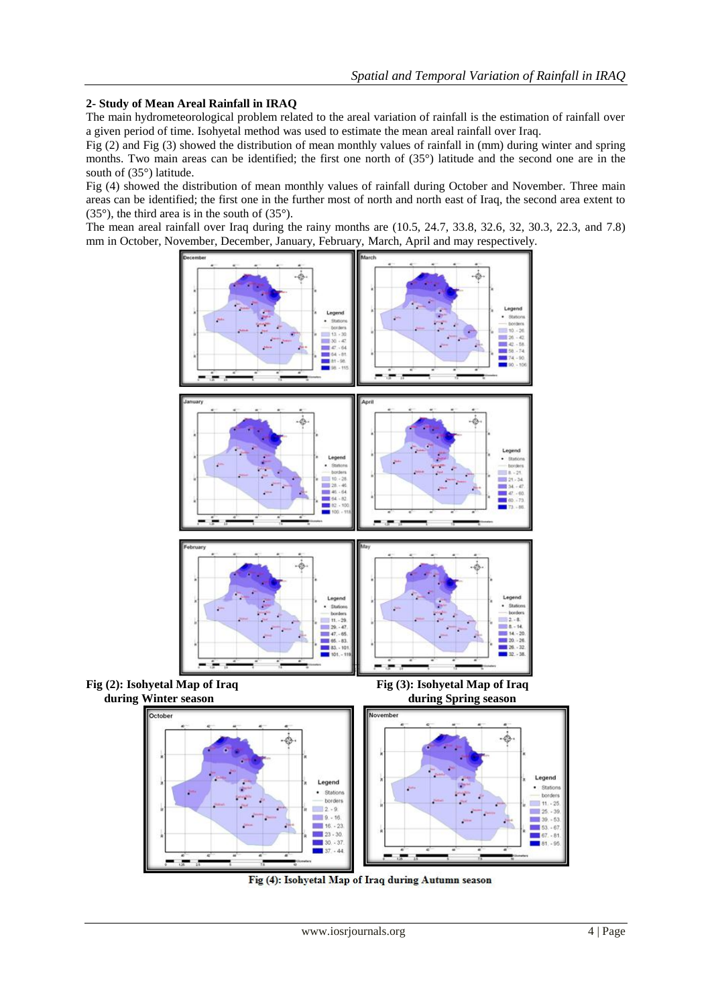## **2- Study of Mean Areal Rainfall in IRAQ**

The main hydrometeorological problem related to the areal variation of rainfall is the estimation of rainfall over a given period of time. Isohyetal method was used to estimate the mean areal rainfall over Iraq.

Fig (2) and Fig (3) showed the distribution of mean monthly values of rainfall in (mm) during winter and spring months. Two main areas can be identified; the first one north of (35°) latitude and the second one are in the south of (35°) latitude.

Fig (4) showed the distribution of mean monthly values of rainfall during October and November. Three main areas can be identified; the first one in the further most of north and north east of Iraq, the second area extent to (35°), the third area is in the south of (35°).

The mean areal rainfall over Iraq during the rainy months are (10.5, 24.7, 33.8, 32.6, 32, 30.3, 22.3, and 7.8) mm in October, November, December, January, February, March, April and may respectively.



Fig (4): Isohyetal Map of Iraq during Autumn season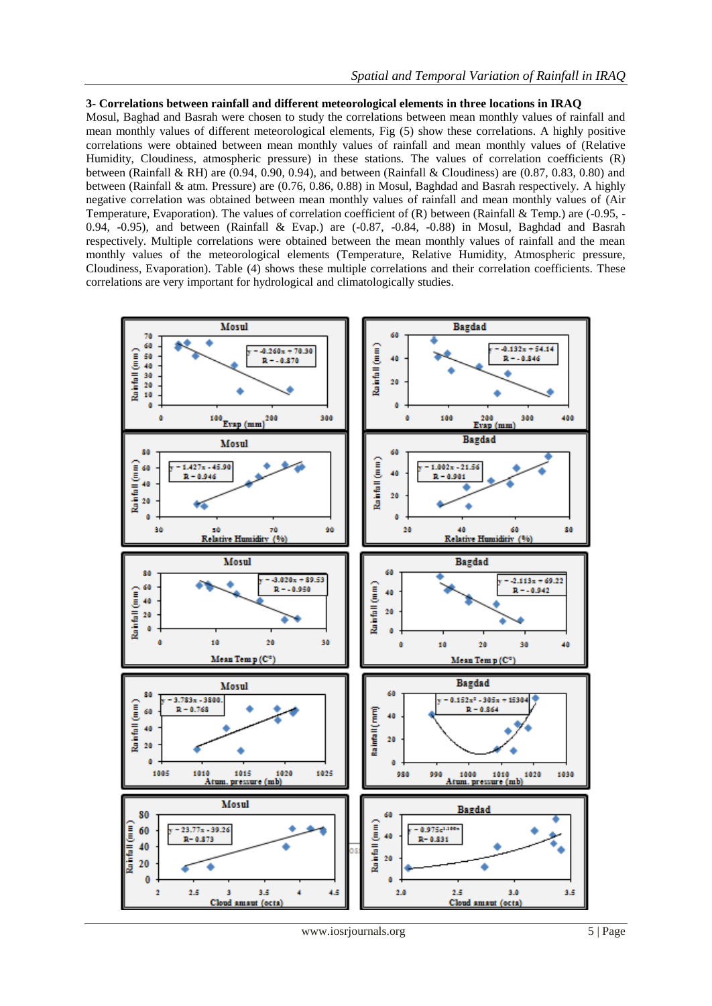#### **3- Correlations between rainfall and different meteorological elements in three locations in IRAQ**

Mosul, Baghad and Basrah were chosen to study the correlations between mean monthly values of rainfall and mean monthly values of different meteorological elements, Fig (5) show these correlations. A highly positive correlations were obtained between mean monthly values of rainfall and mean monthly values of (Relative Humidity, Cloudiness, atmospheric pressure) in these stations. The values of correlation coefficients (R) between (Rainfall & RH) are (0.94, 0.90, 0.94), and between (Rainfall & Cloudiness) are (0.87, 0.83, 0.80) and between (Rainfall & atm. Pressure) are (0.76, 0.86, 0.88) in Mosul, Baghdad and Basrah respectively. A highly negative correlation was obtained between mean monthly values of rainfall and mean monthly values of (Air Temperature, Evaporation). The values of correlation coefficient of  $(R)$  between (Rainfall & Temp.) are (-0.95, - $0.94, -0.95$ ), and between (Rainfall & Evap.) are  $(-0.87, -0.84, -0.88)$  in Mosul, Baghdad and Basrah respectively. Multiple correlations were obtained between the mean monthly values of rainfall and the mean monthly values of the meteorological elements (Temperature, Relative Humidity, Atmospheric pressure, Cloudiness, Evaporation). Table (4) shows these multiple correlations and their correlation coefficients. These correlations are very important for hydrological and climatologically studies.



www.iosrjournals.org 5 | Page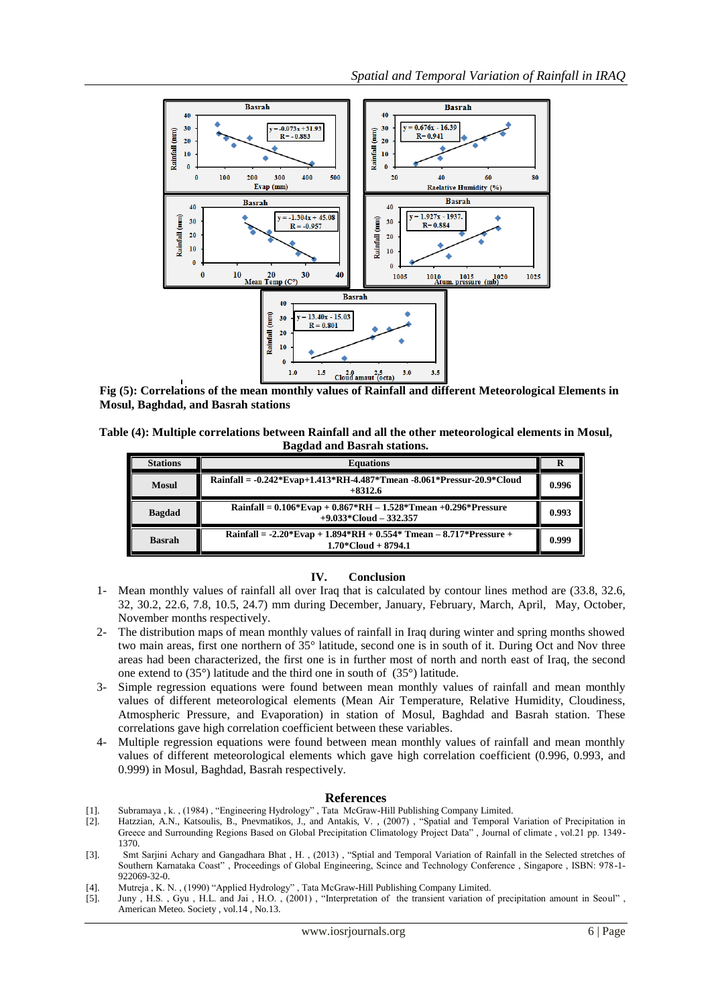

**Fig (5): Correlations of the mean monthly values of Rainfall and different Meteorological Elements in Mosul, Baghdad, and Basrah stations**

**Table (4): Multiple correlations between Rainfall and all the other meteorological elements in Mosul, Bagdad and Basrah stations.**

| <b>Stations</b> | <b>Equations</b>                                                                               |       |  |  |  |  |
|-----------------|------------------------------------------------------------------------------------------------|-------|--|--|--|--|
| <b>Mosul</b>    | Rainfall = -0.242*Evap+1.413*RH-4.487*Tmean -8.061*Pressur-20.9*Cloud<br>$+8312.6$             | 0.996 |  |  |  |  |
| <b>Bagdad</b>   | Rainfall = $0.106*Evap + 0.867*RH - 1.528*Tmean + 0.296*Pressure$<br>$+9.033$ *Cloud – 332.357 | 0.993 |  |  |  |  |
| <b>Basrah</b>   | Rainfall = $-2.20*Evap + 1.894*RH + 0.554*Tmean - 8.717*Pressure +$<br>$1.70$ *Cloud + 8794.1  | 0.999 |  |  |  |  |

#### **IV. Conclusion**

- 1- Mean monthly values of rainfall all over Iraq that is calculated by contour lines method are (33.8, 32.6, 32, 30.2, 22.6, 7.8, 10.5, 24.7) mm during December, January, February, March, April, May, October, November months respectively.
- 2- The distribution maps of mean monthly values of rainfall in Iraq during winter and spring months showed two main areas, first one northern of 35° latitude, second one is in south of it. During Oct and Nov three areas had been characterized, the first one is in further most of north and north east of Iraq, the second one extend to (35°) latitude and the third one in south of (35°) latitude.
- 3- Simple regression equations were found between mean monthly values of rainfall and mean monthly values of different meteorological elements (Mean Air Temperature, Relative Humidity, Cloudiness, Atmospheric Pressure, and Evaporation) in station of Mosul, Baghdad and Basrah station. These correlations gave high correlation coefficient between these variables.
- 4- Multiple regression equations were found between mean monthly values of rainfall and mean monthly values of different meteorological elements which gave high correlation coefficient (0.996, 0.993, and 0.999) in Mosul, Baghdad, Basrah respectively.

#### **References**

- [1]. Subramaya , k. , (1984) , "Engineering Hydrology" , Tata McGraw-Hill Publishing Company Limited.
- [2]. Hatzzian, A.N., Katsoulis, B., Pnevmatikos, J., and Antakis, V. , (2007) , "Spatial and Temporal Variation of Precipitation in Greece and Surrounding Regions Based on Global Precipitation Climatology Project Data" , Journal of climate , vol.21 pp. 1349- 1370.
- [3]. Smt Sarjini Achary and Gangadhara Bhat , H. , (2013) , "Sptial and Temporal Variation of Rainfall in the Selected stretches of Southern Karnataka Coast" , Proceedings of Global Engineering, Scince and Technology Conference , Singapore , ISBN: 978-1- 922069-32-0.
- [4]. Mutreja , K. N. , (1990) "Applied Hydrology", Tata McGraw-Hill Publishing Company Limited.<br>[5]. Juny , H.S. , Gyu, H.L. and Jai, H.O. , (2001) , "Interpretation of the transient variation o
- Juny , H.S. , Gyu , H.L. and Jai , H.O. , (2001) , "Interpretation of the transient variation of precipitation amount in Seoul" , American Meteo. Society , vol.14 , No.13.